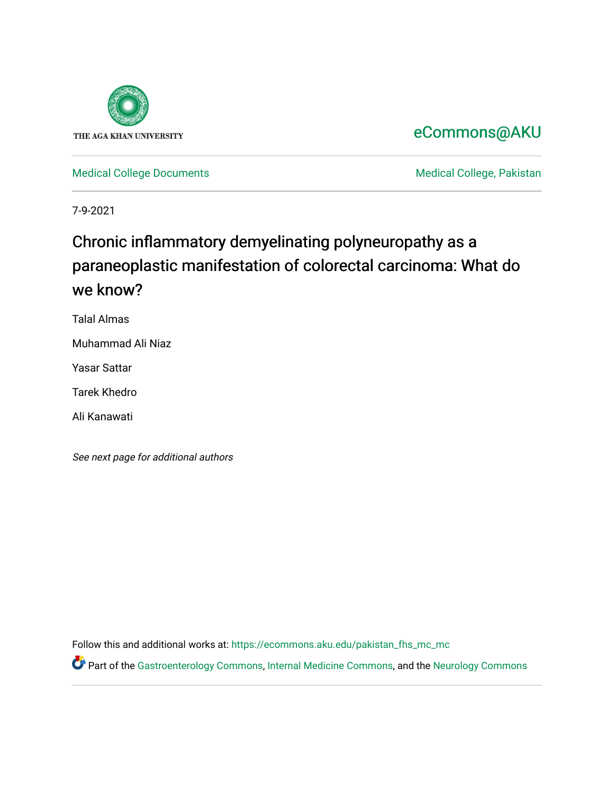

# [eCommons@AKU](https://ecommons.aku.edu/)

[Medical College Documents](https://ecommons.aku.edu/pakistan_fhs_mc_mc) **Medical College, Pakistan** 

7-9-2021

# Chronic inflammatory demyelinating polyneuropathy as a paraneoplastic manifestation of colorectal carcinoma: What do we know?

Talal Almas

Muhammad Ali Niaz

Yasar Sattar

Tarek Khedro

Ali Kanawati

See next page for additional authors

Follow this and additional works at: [https://ecommons.aku.edu/pakistan\\_fhs\\_mc\\_mc](https://ecommons.aku.edu/pakistan_fhs_mc_mc?utm_source=ecommons.aku.edu%2Fpakistan_fhs_mc_mc%2F239&utm_medium=PDF&utm_campaign=PDFCoverPages) 

Part of the [Gastroenterology Commons](http://network.bepress.com/hgg/discipline/687?utm_source=ecommons.aku.edu%2Fpakistan_fhs_mc_mc%2F239&utm_medium=PDF&utm_campaign=PDFCoverPages), [Internal Medicine Commons,](http://network.bepress.com/hgg/discipline/1356?utm_source=ecommons.aku.edu%2Fpakistan_fhs_mc_mc%2F239&utm_medium=PDF&utm_campaign=PDFCoverPages) and the [Neurology Commons](http://network.bepress.com/hgg/discipline/692?utm_source=ecommons.aku.edu%2Fpakistan_fhs_mc_mc%2F239&utm_medium=PDF&utm_campaign=PDFCoverPages)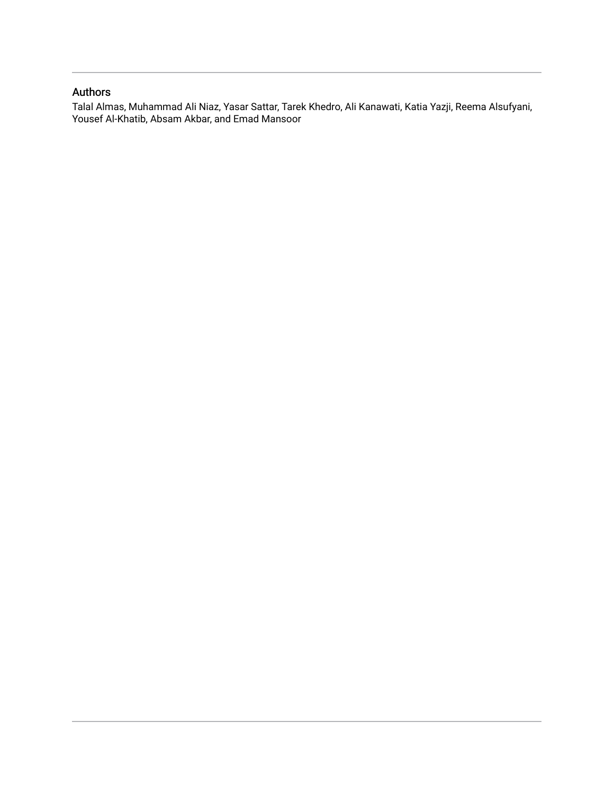# Authors

Talal Almas, Muhammad Ali Niaz, Yasar Sattar, Tarek Khedro, Ali Kanawati, Katia Yazji, Reema Alsufyani, Yousef Al-Khatib, Absam Akbar, and Emad Mansoor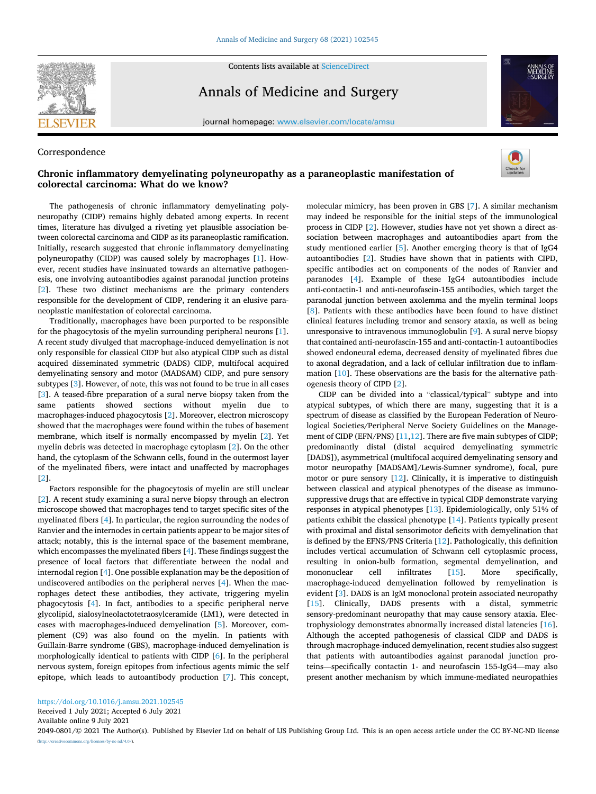

Contents lists available at [ScienceDirect](www.sciencedirect.com/science/journal/20490801)

Annals of Medicine and Surgery

journal homepage: [www.elsevier.com/locate/amsu](https://www.elsevier.com/locate/amsu) 





# **Chronic inflammatory demyelinating polyneuropathy as a paraneoplastic manifestation of colorectal carcinoma: What do we know?**



The pathogenesis of chronic inflammatory demyelinating polyneuropathy (CIDP) remains highly debated among experts. In recent times, literature has divulged a riveting yet plausible association between colorectal carcinoma and CIDP as its paraneoplastic ramification. Initially, research suggested that chronic inflammatory demyelinating polyneuropathy (CIDP) was caused solely by macrophages [\[1\]](#page-3-0). However, recent studies have insinuated towards an alternative pathogenesis, one involving autoantibodies against paranodal junction proteins [[2](#page-3-0)]. These two distinct mechanisms are the primary contenders responsible for the development of CIDP, rendering it an elusive paraneoplastic manifestation of colorectal carcinoma.

Traditionally, macrophages have been purported to be responsible for the phagocytosis of the myelin surrounding peripheral neurons [[1](#page-3-0)]. A recent study divulged that macrophage-induced demyelination is not only responsible for classical CIDP but also atypical CIDP such as distal acquired disseminated symmetric (DADS) CIDP, multifocal acquired demyelinating sensory and motor (MADSAM) CIDP, and pure sensory subtypes [\[3\]](#page-3-0). However, of note, this was not found to be true in all cases [[3](#page-3-0)]. A teased-fibre preparation of a sural nerve biopsy taken from the same patients showed sections without myelin due to macrophages-induced phagocytosis [\[2\]](#page-3-0). Moreover, electron microscopy showed that the macrophages were found within the tubes of basement membrane, which itself is normally encompassed by myelin [[2](#page-3-0)]. Yet myelin debris was detected in macrophage cytoplasm [[2](#page-3-0)]. On the other hand, the cytoplasm of the Schwann cells, found in the outermost layer of the myelinated fibers, were intact and unaffected by macrophages [[2](#page-3-0)].

Factors responsible for the phagocytosis of myelin are still unclear [[2](#page-3-0)]. A recent study examining a sural nerve biopsy through an electron microscope showed that macrophages tend to target specific sites of the myelinated fibers [[4](#page-3-0)]. In particular, the region surrounding the nodes of Ranvier and the internodes in certain patients appear to be major sites of attack; notably, this is the internal space of the basement membrane, which encompasses the myelinated fibers [\[4\]](#page-3-0). These findings suggest the presence of local factors that differentiate between the nodal and internodal region [\[4\]](#page-3-0). One possible explanation may be the deposition of undiscovered antibodies on the peripheral nerves [\[4\]](#page-3-0). When the macrophages detect these antibodies, they activate, triggering myelin phagocytosis [[4](#page-3-0)]. In fact, antibodies to a specific peripheral nerve glycolipid, sialosylneolactotetraosylceramide (LM1), were detected in cases with macrophages-induced demyelination [[5](#page-3-0)]. Moreover, complement (C9) was also found on the myelin. In patients with Guillain-Barre syndrome (GBS), macrophage-induced demyelination is morphologically identical to patients with CIDP [\[6\]](#page-3-0). In the peripheral nervous system, foreign epitopes from infectious agents mimic the self epitope, which leads to autoantibody production [[7](#page-3-0)]. This concept, molecular mimicry, has been proven in GBS [\[7](#page-3-0)]. A similar mechanism may indeed be responsible for the initial steps of the immunological process in CIDP [[2](#page-3-0)]. However, studies have not yet shown a direct association between macrophages and autoantibodies apart from the study mentioned earlier [[5](#page-3-0)]. Another emerging theory is that of IgG4 autoantibodies [\[2](#page-3-0)]. Studies have shown that in patients with CIPD, specific antibodies act on components of the nodes of Ranvier and paranodes [\[4\]](#page-3-0). Example of these IgG4 autoantibodies include anti-contactin-1 and anti-neurofascin-155 antibodies, which target the paranodal junction between axolemma and the myelin terminal loops [[8](#page-3-0)]. Patients with these antibodies have been found to have distinct clinical features including tremor and sensory ataxia, as well as being unresponsive to intravenous immunoglobulin [[9](#page-3-0)]. A sural nerve biopsy that contained anti-neurofascin-155 and anti-contactin-1 autoantibodies showed endoneural edema, decreased density of myelinated fibres due to axonal degradation, and a lack of cellular infiltration due to inflammation [\[10](#page-3-0)]. These observations are the basis for the alternative pathogenesis theory of CIPD [[2](#page-3-0)].

CIDP can be divided into a "classical/typical" subtype and into atypical subtypes, of which there are many, suggesting that it is a spectrum of disease as classified by the European Federation of Neurological Societies/Peripheral Nerve Society Guidelines on the Management of CIDP (EFN/PNS) [\[11,12](#page-3-0)]. There are five main subtypes of CIDP; predominantly distal (distal acquired demyelinating symmetric [DADS]), asymmetrical (multifocal acquired demyelinating sensory and motor neuropathy [MADSAM]/Lewis-Sumner syndrome), focal, pure motor or pure sensory [[12\]](#page-3-0). Clinically, it is imperative to distinguish between classical and atypical phenotypes of the disease as immunosuppressive drugs that are effective in typical CIDP demonstrate varying responses in atypical phenotypes [\[13\]](#page-4-0). Epidemiologically, only 51% of patients exhibit the classical phenotype [[14\]](#page-4-0). Patients typically present with proximal and distal sensorimotor deficits with demyelination that is defined by the EFNS/PNS Criteria [\[12](#page-3-0)]. Pathologically, this definition includes vertical accumulation of Schwann cell cytoplasmic process, resulting in onion-bulb formation, segmental demyelination, and mononuclear cell infiltrates [15]. More specifically, mononuclear cell infiltrates [[15\]](#page-4-0). More specifically, macrophage-induced demyelination followed by remyelination is evident [\[3\]](#page-3-0). DADS is an IgM monoclonal protein associated neuropathy [[15\]](#page-4-0). Clinically, DADS presents with a distal, symmetric sensory-predominant neuropathy that may cause sensory ataxia. Electrophysiology demonstrates abnormally increased distal latencies [\[16](#page-4-0)]. Although the accepted pathogenesis of classical CIDP and DADS is through macrophage-induced demyelination, recent studies also suggest that patients with autoantibodies against paranodal junction proteins—specifically contactin 1- and neurofascin 155-IgG4—may also present another mechanism by which immune-mediated neuropathies

<https://doi.org/10.1016/j.amsu.2021.102545>

Received 1 July 2021; Accepted 6 July 2021

Available online 9 July 2021

2049-0801/© 2021 The Author(s). Published by Elsevier Ltd on behalf of IJS Publishing Group Ltd. This is an open access article under the CC BY-NC-ND license [\(http://creativecommons.org/licenses/by-nc-nd/4.0/\)](http://creativecommons.org/licenses/by-nc-nd/4.0/).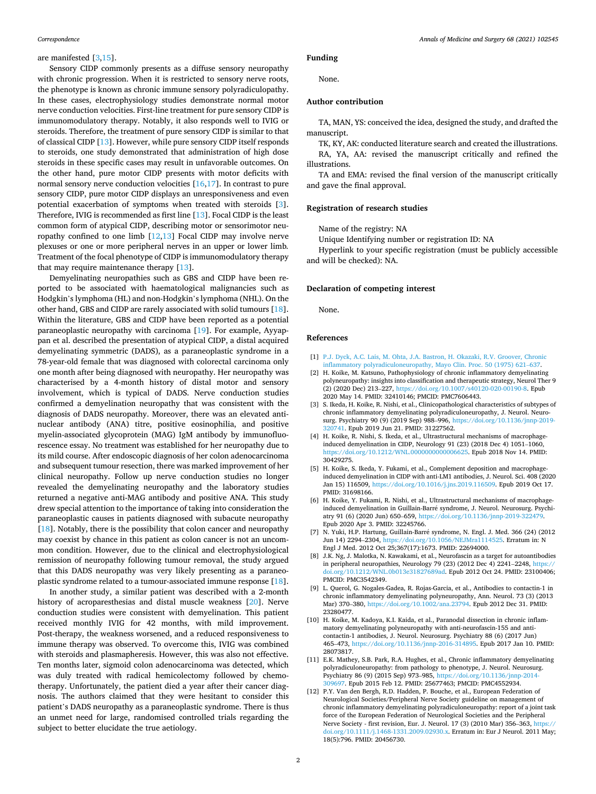# <span id="page-3-0"></span>are manifested [3[,15](#page-4-0)].

Sensory CIDP commonly presents as a diffuse sensory neuropathy with chronic progression. When it is restricted to sensory nerve roots, the phenotype is known as chronic immune sensory polyradiculopathy. In these cases, electrophysiology studies demonstrate normal motor nerve conduction velocities. First-line treatment for pure sensory CIDP is immunomodulatory therapy. Notably, it also responds well to IVIG or steroids. Therefore, the treatment of pure sensory CIDP is similar to that of classical CIDP [[13\]](#page-4-0). However, while pure sensory CIDP itself responds to steroids, one study demonstrated that administration of high dose steroids in these specific cases may result in unfavorable outcomes. On the other hand, pure motor CIDP presents with motor deficits with normal sensory nerve conduction velocities [[16,17\]](#page-4-0). In contrast to pure sensory CIDP, pure motor CIDP displays an unresponsiveness and even potential exacerbation of symptoms when treated with steroids [3]. Therefore, IVIG is recommended as first line [[13\]](#page-4-0). Focal CIDP is the least common form of atypical CIDP, describing motor or sensorimotor neuropathy confined to one limb [12[,13](#page-4-0)] Focal CIDP may involve nerve plexuses or one or more peripheral nerves in an upper or lower limb*.*  Treatment of the focal phenotype of CIDP is immunomodulatory therapy that may require maintenance therapy [[13\]](#page-4-0).

Demyelinating neuropathies such as GBS and CIDP have been reported to be associated with haematological malignancies such as Hodgkin's lymphoma (HL) and non-Hodgkin's lymphoma (NHL). On the other hand, GBS and CIDP are rarely associated with solid tumours [\[18](#page-4-0)]. Within the literature, GBS and CIDP have been reported as a potential paraneoplastic neuropathy with carcinoma [[19\]](#page-4-0). For example, Ayyappan et al. described the presentation of atypical CIDP, a distal acquired demyelinating symmetric (DADS), as a paraneoplastic syndrome in a 78-year-old female that was diagnosed with colorectal carcinoma only one month after being diagnosed with neuropathy. Her neuropathy was characterised by a 4-month history of distal motor and sensory involvement, which is typical of DADS. Nerve conduction studies confirmed a demyelination neuropathy that was consistent with the diagnosis of DADS neuropathy. Moreover, there was an elevated antinuclear antibody (ANA) titre, positive eosinophilia, and positive myelin-associated glycoprotein (MAG) IgM antibody by immunofluorescence essay. No treatment was established for her neuropathy due to its mild course. After endoscopic diagnosis of her colon adenocarcinoma and subsequent tumour resection, there was marked improvement of her clinical neuropathy. Follow up nerve conduction studies no longer revealed the demyelinating neuropathy and the laboratory studies returned a negative anti-MAG antibody and positive ANA. This study drew special attention to the importance of taking into consideration the paraneoplastic causes in patients diagnosed with subacute neuropathy [[18\]](#page-4-0). Notably, there is the possibility that colon cancer and neuropathy may coexist by chance in this patient as colon cancer is not an uncommon condition. However, due to the clinical and electrophysiological remission of neuropathy following tumour removal, the study argued that this DADS neuropathy was very likely presenting as a paraneoplastic syndrome related to a tumour-associated immune response [\[18](#page-4-0)].

In another study, a similar patient was described with a 2-month history of acroparesthesias and distal muscle weakness [\[20](#page-4-0)]. Nerve conduction studies were consistent with demyelination. This patient received monthly IVIG for 42 months, with mild improvement. Post-therapy, the weakness worsened, and a reduced responsiveness to immune therapy was observed. To overcome this, IVIG was combined with steroids and plasmapheresis. However, this was also not effective. Ten months later, sigmoid colon adenocarcinoma was detected, which was duly treated with radical hemicolectomy followed by chemotherapy. Unfortunately, the patient died a year after their cancer diagnosis. The authors claimed that they were hesitant to consider this patient's DADS neuropathy as a paraneoplastic syndrome. There is thus an unmet need for large, randomised controlled trials regarding the subject to better elucidate the true aetiology.

# **Funding**

None.

# **Author contribution**

TA, MAN, YS: conceived the idea, designed the study, and drafted the manuscript.

TK, KY, AK: conducted literature search and created the illustrations.

RA, YA, AA: revised the manuscript critically and refined the illustrations.

TA and EMA: revised the final version of the manuscript critically and gave the final approval.

# **Registration of research studies**

Name of the registry: NA

Unique Identifying number or registration ID: NA

Hyperlink to your specific registration (must be publicly accessible and will be checked): NA.

### **Declaration of competing interest**

None.

#### **References**

- [1] [P.J. Dyck, A.C. Lais, M. Ohta, J.A. Bastron, H. Okazaki, R.V. Groover, Chronic](http://refhub.elsevier.com/S2049-0801(21)00495-7/sref1) [inflammatory polyradiculoneuropathy, Mayo Clin. Proc. 50 \(1975\) 621](http://refhub.elsevier.com/S2049-0801(21)00495-7/sref1)–637.
- [2] H. Koike, M. Katsuno, Pathophysiology of chronic inflammatory demyelinating polyneuropathy: insights into classification and therapeutic strategy, Neurol Ther 9 (2) (2020 Dec) 213–227, [https://doi.org/10.1007/s40120-020-00190-8.](https://doi.org/10.1007/s40120-020-00190-8) Epub 2020 May 14. PMID: 32410146; PMCID: PMC7606443.
- [3] S. Ikeda, H. Koike, R. Nishi, et al., Clinicopathological characteristics of subtypes of chronic inflammatory demyelinating polyradiculoneuropathy, J. Neurol. Neurosurg. Psychiatry 90 (9) (2019 Sep) 988–996, [https://doi.org/10.1136/jnnp-2019-](https://doi.org/10.1136/jnnp-2019-320741) [320741.](https://doi.org/10.1136/jnnp-2019-320741) Epub 2019 Jun 21. PMID: 31227562.
- [4] H. Koike, R. Nishi, S. Ikeda, et al., Ultrastructural mechanisms of macrophageinduced demyelination in CIDP, Neurology 91 (23) (2018 Dec 4) 1051–1060, [https://doi.org/10.1212/WNL.0000000000006625.](https://doi.org/10.1212/WNL.0000000000006625) Epub 2018 Nov 14. PMID: 30429275.
- [5] H. Koike, S. Ikeda, Y. Fukami, et al., Complement deposition and macrophageinduced demyelination in CIDP with anti-LM1 antibodies, J. Neurol. Sci. 408 (2020 Jan 15) 116509, <https://doi.org/10.1016/j.jns.2019.116509>. Epub 2019 Oct 17. PMID: 31698166.
- [6] H. Koike, Y. Fukami, R. Nishi, et al., Ultrastructural mechanisms of macrophageinduced demyelination in Guillain-Barré syndrome, J. Neurol. Neurosurg. Psychiatry 91 (6) (2020 Jun) 650–659, [https://doi.org/10.1136/jnnp-2019-322479.](https://doi.org/10.1136/jnnp-2019-322479) Epub 2020 Apr 3. PMID: 32245766.
- [7] N. Yuki, H.P. Hartung, Guillain-Barré syndrome, N. Engl. J. Med. 366 (24) (2012 Jun 14) 2294–2304, [https://doi.org/10.1056/NEJMra1114525.](https://doi.org/10.1056/NEJMra1114525) Erratum in: N Engl J Med. 2012 Oct 25;367(17):1673. PMID: 22694000.
- [8] J.K. Ng, J. Malotka, N. Kawakami, et al., Neurofascin as a target for autoantibodies in peripheral neuropathies, Neurology 79 (23) (2012 Dec 4) 2241-2248, https: [doi.org/10.1212/WNL.0b013e31827689ad.](https://doi.org/10.1212/WNL.0b013e31827689ad) Epub 2012 Oct 24. PMID: 23100406; PMCID: PMC3542349.
- [9] L. Querol, G. Nogales-Gadea, R. Rojas-Garcia, et al., Antibodies to contactin-1 in chronic inflammatory demyelinating polyneuropathy, Ann. Neurol. 73 (3) (2013 Mar) 370–380,<https://doi.org/10.1002/ana.23794>. Epub 2012 Dec 31. PMID: 23280477.
- [10] H. Koike, M. Kadoya, K.I. Kaida, et al., Paranodal dissection in chronic inflammatory demyelinating polyneuropathy with anti-neurofascin-155 and anticontactin-1 antibodies, J. Neurol. Neurosurg. Psychiatry 88 (6) (2017 Jun) 465–473, <https://doi.org/10.1136/jnnp-2016-314895>. Epub 2017 Jan 10. PMID: 28073817.
- [11] E.K. Mathey, S.B. Park, R.A. Hughes, et al., Chronic inflammatory demyelinating polyradiculoneuropathy: from pathology to phenotype, J. Neurol. Neurosurg. Psychiatry 86 (9) (2015 Sep) 973–985, [https://doi.org/10.1136/jnnp-2014-](https://doi.org/10.1136/jnnp-2014-309697) [309697.](https://doi.org/10.1136/jnnp-2014-309697) Epub 2015 Feb 12. PMID: 25677463; PMCID: PMC4552934.
- [12] P.Y. Van den Bergh, R.D. Hadden, P. Bouche, et al., European Federation of Neurological Societies/Peripheral Nerve Society guideline on management of chronic inflammatory demyelinating polyradiculoneuropathy: report of a joint task force of the European Federation of Neurological Societies and the Peripheral Nerve Society - first revision, Eur. J. Neurol. 17 (3) (2010 Mar) 356–363, [https://](https://doi.org/10.1111/j.1468-1331.2009.02930.x)  [doi.org/10.1111/j.1468-1331.2009.02930.x](https://doi.org/10.1111/j.1468-1331.2009.02930.x). Erratum in: Eur J Neurol. 2011 May; 18(5):796. PMID: 20456730.